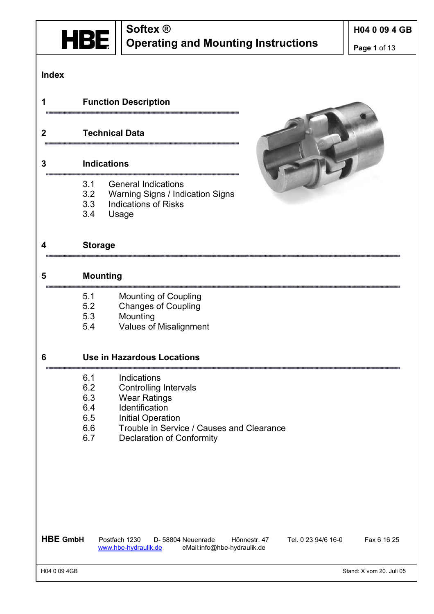

**Page 1** of 13

#### **Index**

#### **1 Function Description**

#### **2 Technical Data**

#### **3 Indications**

- 3.1 General Indications
- 3.2 Warning Signs / Indication Signs
- 3.3 Indications of Risks
- 3.4 Usage

#### **4 Storage**

#### **5 Mounting**

- 5.1 Mounting of Coupling
- 5.2 Changes of Coupling
- 5.3 Mounting
- 5.4 Values of Misalignment

#### **6 Use in Hazardous Locations**

- 6.1 Indications
- 6.2 Controlling Intervals
- 6.3 Wear Ratings
- 6.4 Identification
- 6.5 Initial Operation
- 6.6 Trouble in Service / Causes and Clearance
- 6.7 Declaration of Conformity

**HBE GmbH** Postfach 1230 D- 58804 Neuenrade Hönnestr. 47 Tel. 0 23 94/6 16-0 Fax 6 16 25 www.hbe-hydraulik.de eMail:info@hbe-hydraulik.de

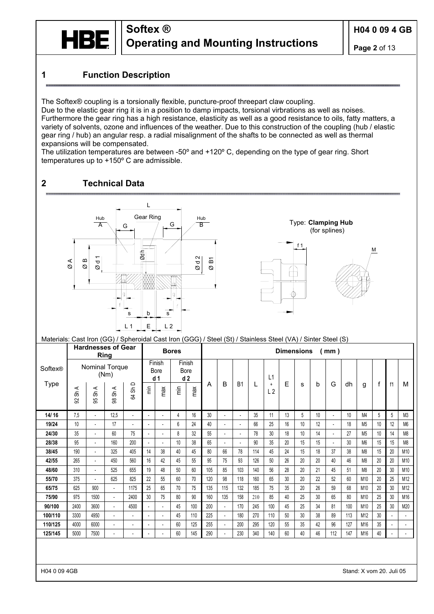

#### **1 Function Description**

The Softex® coupling is a torsionally flexible, puncture-proof threepart claw coupling.

Due to the elastic gear ring it is in a position to damp impacts, torsional virbrations as well as noises. Furthermore the gear ring has a high resistance, elasticity as well as a good resistance to oils, fatty matters, a variety of solvents, ozone and influences of the weather. Due to this construction of the coupling (hub / elastic gear ring / hub) an angular resp. a radial misalignment of the shafts to be connected as well as thermal expansions will be compensated.

The utilization temperatures are between -50º and +120º C, depending on the type of gear ring. Short temperatures up to +150º C are admissible.

#### **2 Technical Data**



#### Materials: Cast Iron (GG) / Spheroidal Cast Iron (GGG) / Steel (St) / Stainless Steel (VA) / Sinter Steel (S)

|         |                      | <b>Hardnesses of Gear</b><br>Ring |                                |                          |                          |                                         | <b>Bores</b>                      |                          | <b>Dimensions</b> |                          |                |     |                             |    |    |    | mm)                      |     |                |    |                          |                |
|---------|----------------------|-----------------------------------|--------------------------------|--------------------------|--------------------------|-----------------------------------------|-----------------------------------|--------------------------|-------------------|--------------------------|----------------|-----|-----------------------------|----|----|----|--------------------------|-----|----------------|----|--------------------------|----------------|
| Softex® |                      | Nominal Torque                    | (Nm)                           |                          |                          | Finish<br><b>Bore</b><br>d <sub>1</sub> | <b>Bore</b>                       | Finish<br>d <sub>2</sub> |                   |                          |                |     | L1                          |    |    |    |                          |     |                |    |                          |                |
| Type    | $\prec$<br>ક્ર<br>S, | $\prec$<br>ક્રે<br>99             | ShA<br>$\overline{\mathbf{g}}$ | Sh D<br><b>飞</b>         |                          | max                                     | $\widetilde{\overline{\epsilon}}$ | max                      | A                 | B                        | <b>B1</b>      | L   | $\ddot{}$<br>L <sub>2</sub> | E  | s  | b  | G                        | dh  | g              | f  | f1                       | м              |
| 14/16   | 7,5                  | $\blacksquare$                    | 12.5                           | $\blacksquare$           | $\overline{\phantom{a}}$ | $\blacksquare$                          | 4                                 | 16                       | 30                | $\blacksquare$           | $\blacksquare$ | 35  | 11                          | 13 | 5  | 10 | $\overline{\phantom{a}}$ | 10  | M4             | 5  | 5                        | M <sub>3</sub> |
| 19/24   | 10                   | $\blacksquare$                    | 17                             | $\overline{\phantom{a}}$ | $\mathcal{L}$            | $\overline{a}$                          | 6                                 | 24                       | 40                | $\blacksquare$           | $\blacksquare$ | 66  | 25                          | 16 | 10 | 12 | $\overline{\phantom{a}}$ | 18  | M <sub>5</sub> | 10 | 12                       | M <sub>6</sub> |
| 24/30   | 35                   | $\blacksquare$                    | 60                             | 75                       | $\mathcal{L}$            | $\overline{\phantom{a}}$                | 8                                 | 32                       | 55                | $\blacksquare$           | $\blacksquare$ | 78  | 30                          | 18 | 10 | 14 | $\blacksquare$           | 27  | M <sub>5</sub> | 10 | 14                       | M8             |
| 28/38   | 95                   | $\blacksquare$                    | 160                            | 200                      | $\mathcal{L}$            | $\overline{\phantom{a}}$                | 10                                | 38                       | 65                | $\overline{a}$           | $\overline{a}$ | 90  | 35                          | 20 | 15 | 15 | $\overline{\phantom{a}}$ | 30  | M <sub>6</sub> | 15 | 15                       | M8             |
| 38/45   | 190                  | $\blacksquare$                    | 325                            | 405                      | 14                       | 38                                      | 40                                | 45                       | 80                | 66                       | 78             | 114 | 45                          | 24 | 15 | 18 | 37                       | 38  | M <sub>8</sub> | 15 | 20                       | M10            |
| 42/55   | 265                  | $\blacksquare$                    | 450                            | 560                      | 16                       | 42                                      | 45                                | 55                       | 95                | 75                       | 93             | 126 | 50                          | 26 | 20 | 20 | 40                       | 46  | M <sub>8</sub> | 20 | 20                       | M10            |
| 48/60   | 310                  | $\blacksquare$                    | 525                            | 655                      | 19                       | 48                                      | 50                                | 60                       | 105               | 85                       | 103            | 140 | 56                          | 28 | 20 | 21 | 45                       | 51  | M <sub>8</sub> | 20 | 30                       | M10            |
| 55/70   | 375                  |                                   | 625                            | 825                      | 22                       | 55                                      | 60                                | 70                       | 120               | 98                       | 118            | 160 | 65                          | 30 | 20 | 22 | 52                       | 60  | M10            | 20 | 25                       | M12            |
| 65/75   | 625                  | 900                               | $\blacksquare$                 | 1175                     | 25                       | 65                                      | 70                                | 75                       | 135               | 115                      | 132            | 185 | 75                          | 35 | 20 | 26 | 59                       | 68  | M10            | 20 | 30                       | M12            |
| 75/90   | 975                  | 1500                              | $\blacksquare$                 | 2400                     | 30                       | 75                                      | 80                                | 90                       | 160               | 135                      | 158            | 210 | 85                          | 40 | 25 | 30 | 65                       | 80  | M10            | 25 | 30                       | M16            |
| 90/100  | 2400                 | 3600                              | $\overline{\phantom{a}}$       | 4500                     | $\blacksquare$           | $\overline{a}$                          | 45                                | 100                      | 200               | $\blacksquare$           | 170            | 245 | 100                         | 45 | 25 | 34 | 81                       | 100 | M10            | 25 | 30                       | M20            |
| 100/110 | 3300                 | 4950                              | $\overline{a}$                 | $\overline{\phantom{a}}$ | $\overline{a}$           | $\overline{a}$                          | 45                                | 110                      | 225               | $\blacksquare$           | 180            | 270 | 110                         | 50 | 30 | 38 | 89                       | 113 | M12            | 30 | $\blacksquare$           | $\sim$         |
| 110/125 | 4000                 | 6000                              | $\overline{\phantom{a}}$       | $\overline{\phantom{a}}$ | $\blacksquare$           |                                         | 60                                | 125                      | 255               | $\overline{\phantom{a}}$ | 200            | 295 | 120                         | 55 | 35 | 42 | 96                       | 127 | M16            | 35 | $\blacksquare$           | $\sim$         |
| 125/145 | 5000                 | 7500                              | $\overline{\phantom{a}}$       | $\overline{\phantom{a}}$ | $\overline{\phantom{a}}$ |                                         | 60                                | 145                      | 290               | $\overline{a}$           | 230            | 340 | 140                         | 60 | 40 | 46 | 112                      | 147 | M16            | 40 | $\overline{\phantom{a}}$ | $\sim$         |
|         |                      |                                   |                                |                          |                          |                                         |                                   |                          |                   |                          |                |     |                             |    |    |    |                          |     |                |    |                          |                |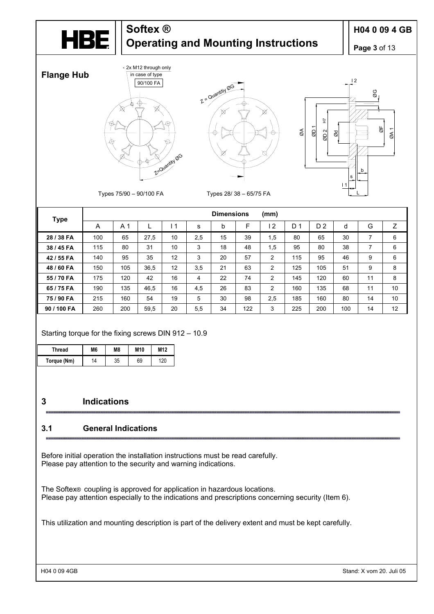

### **H04 0 09 4 GB**

**Page 3** of 13



| <b>Type</b> |     |                |      |    |     | <b>Dimensions</b> |     | (mm)           |     |                |     |    |    |
|-------------|-----|----------------|------|----|-----|-------------------|-----|----------------|-----|----------------|-----|----|----|
|             | A   | A <sub>1</sub> |      | -1 | s   | b                 | F   | $\overline{2}$ | D 1 | D <sub>2</sub> | d   | G  | Z  |
| 28 / 38 FA  | 100 | 65             | 27,5 | 10 | 2,5 | 15                | 39  | 1,5            | 80  | 65             | 30  | 7  | 6  |
| 38 / 45 FA  | 115 | 80             | 31   | 10 | 3   | 18                | 48  | 1,5            | 95  | 80             | 38  | 7  | 6  |
| 42 / 55 FA  | 140 | 95             | 35   | 12 | 3   | 20                | 57  | $\overline{2}$ | 115 | 95             | 46  | 9  | 6  |
| 48 / 60 FA  | 150 | 105            | 36,5 | 12 | 3,5 | 21                | 63  | $\overline{2}$ | 125 | 105            | 51  | 9  | 8  |
| 55 / 70 FA  | 175 | 120            | 42   | 16 | 4   | 22                | 74  | $\overline{2}$ | 145 | 120            | 60  | 11 | 8  |
| 65 / 75 FA  | 190 | 135            | 46,5 | 16 | 4,5 | 26                | 83  | $\overline{2}$ | 160 | 135            | 68  | 11 | 10 |
| 75 / 90 FA  | 215 | 160            | 54   | 19 | 5   | 30                | 98  | 2,5            | 185 | 160            | 80  | 14 | 10 |
| 90 / 100 FA | 260 | 200            | 59,5 | 20 | 5,5 | 34                | 122 | 3              | 225 | 200            | 100 | 14 | 12 |

#### Starting torque for the fixing screws DIN 912 – 10.9

| Thread      | M6 | M8 | M10 | M <sub>12</sub> |
|-------------|----|----|-----|-----------------|
| Torque (Nm) | 14 | 35 | 69  | 120             |

#### **3 Indications**

#### **3.1 General Indications**

Before initial operation the installation instructions must be read carefully. Please pay attention to the security and warning indications.

The Softex® coupling is approved for application in hazardous locations. Please pay attention especially to the indications and prescriptions concerning security (Item 6).

This utilization and mounting description is part of the delivery extent and must be kept carefully.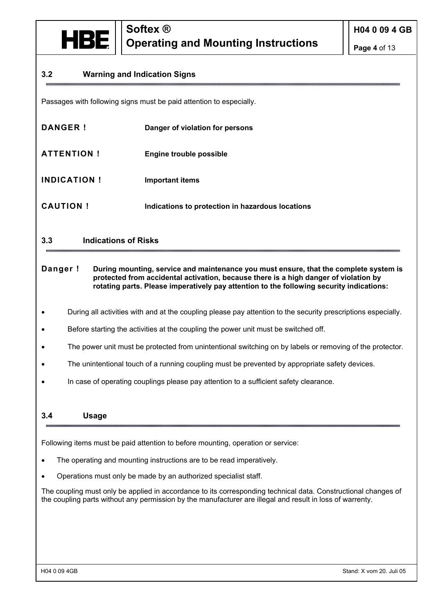

**Page 4** of 13

#### **3.2 Warning and Indication Signs**

Passages with following signs must be paid attention to especially.

| DANGER!            | Danger of violation for persons                  |
|--------------------|--------------------------------------------------|
| <b>ATTENTION!</b>  | <b>Engine trouble possible</b>                   |
| <b>INDICATION!</b> | <b>Important items</b>                           |
| <b>CAUTION!</b>    | Indications to protection in hazardous locations |

#### **3.3 Indications of Risks**

**Danger !** During mounting, service and maintenance you must ensure, that the complete system is **protected from accidental activation, because there is a high danger of violation by rotating parts. Please imperatively pay attention to the following security indications:** 

- During all activities with and at the coupling please pay attention to the security prescriptions especially.
- Before starting the activities at the coupling the power unit must be switched off.
- The power unit must be protected from unintentional switching on by labels or removing of the protector.
- The unintentional touch of a running coupling must be prevented by appropriate safety devices.
- In case of operating couplings please pay attention to a sufficient safety clearance.

#### **3.4 Usage**

Following items must be paid attention to before mounting, operation or service:

- The operating and mounting instructions are to be read imperatively.
- Operations must only be made by an authorized specialist staff.

The coupling must only be applied in accordance to its corresponding technical data. Constructional changes of the coupling parts without any permission by the manufacturer are illegal and result in loss of warrenty.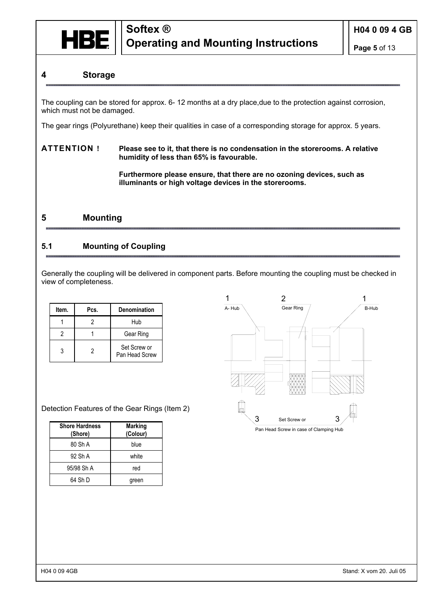

#### **4 Storage**

The coupling can be stored for approx. 6- 12 months at a dry place,due to the protection against corrosion, which must not be damaged.

The gear rings (Polyurethane) keep their qualities in case of a corresponding storage for approx. 5 years.

#### **ATTENTION ! Please see to it, that there is no condensation in the storerooms. A relative humidity of less than 65% is favourable.**

 **Furthermore please ensure, that there are no ozoning devices, such as illuminants or high voltage devices in the storerooms.** 

#### **5 Mounting**

#### **5.1 Mounting of Coupling**

Generally the coupling will be delivered in component parts. Before mounting the coupling must be checked in view of completeness.

| Item. | Pcs. | <b>Denomination</b>            |
|-------|------|--------------------------------|
|       |      | Hub                            |
|       |      | Gear Ring                      |
|       | 2    | Set Screw or<br>Pan Head Screw |

|        | $\overline{2}$                         |        |
|--------|----------------------------------------|--------|
| A- Hub | Gear Ring                              | B-Hub  |
|        |                                        |        |
|        | 3<br>Set Screw or                      | Ш<br>3 |
|        | Pan Head Screw in case of Clamping Hub |        |

Detection Features of the Gear Rings (Item 2)

| <b>Shore Hardness</b><br>(Shore) | <b>Marking</b><br>(Colour) |
|----------------------------------|----------------------------|
| 80 Sh A                          | blue                       |
| 92 Sh A                          | white                      |
| 95/98 Sh A                       | red                        |
| 64 Sh D                          | green                      |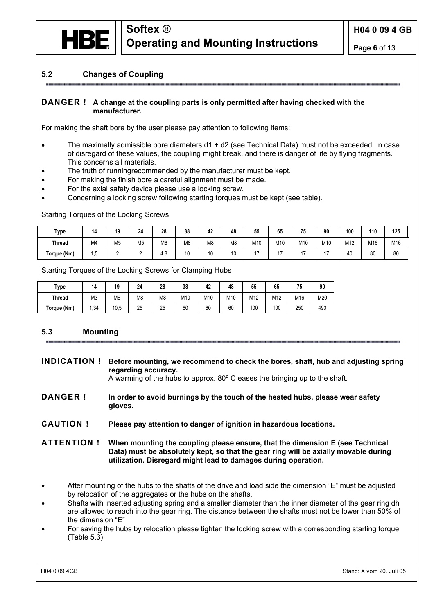

#### **5.2 Changes of Coupling**

#### **DANGER ! A change at the coupling parts is only permitted after having checked with the manufacturer.**

For making the shaft bore by the user please pay attention to following items:

- The maximally admissible bore diameters d1 + d2 (see Technical Data) must not be exceeded. In case of disregard of these values, the coupling might break, and there is danger of life by flying fragments. This concerns all materials.
- The truth of runningrecommended by the manufacturer must be kept.
- For making the finish bore a careful alignment must be made.
- For the axial safety device please use a locking screw.
- Concerning a locking screw following starting torques must be kept (see table).

Starting Torques of the Locking Screws

| Type          | 14   | 19 | 24             | 28             | 38             | 42             | 48             | 55  | 65  | 75  | 90              | 100 | 110 | 125 |
|---------------|------|----|----------------|----------------|----------------|----------------|----------------|-----|-----|-----|-----------------|-----|-----|-----|
| <b>Thread</b> | M4   | M5 | M <sub>5</sub> | M <sub>6</sub> | M <sub>8</sub> | M <sub>8</sub> | M <sub>8</sub> | M1C | M10 | M10 | M <sub>10</sub> | M12 | M16 | M16 |
| Torque (Nm)   | ں. ا |    |                | - 0<br>7.U     | 10             | $\overline{ }$ | 10             |     |     |     | $\overline{1}$  | 40  | 80  | 80  |

Starting Torques of the Locking Screws for Clamping Hubs

| <b>Type</b>   | 14  | 19             | 24 | 28             | 38  | 42  | 48  | 55  | 65  | 75  | 90  |
|---------------|-----|----------------|----|----------------|-----|-----|-----|-----|-----|-----|-----|
| <b>Thread</b> | M3  | M <sub>6</sub> | M8 | M <sub>8</sub> | M10 | M10 | M10 | M12 | M12 | M16 | M20 |
| Torque (Nm)   | .34 | 10,5           | 25 | 25             | 60  | 60  | 60  | 100 | 100 | 250 | 490 |

#### **5.3 Mounting**

**INDICATION ! Before mounting, we recommend to check the bores, shaft, hub and adjusting spring regarding accuracy.** 

A warming of the hubs to approx. 80º C eases the bringing up to the shaft.

**DANGER ! In order to avoid burnings by the touch of the heated hubs, please wear safety gloves.** 

**CAUTION ! Please pay attention to danger of ignition in hazardous locations.** 

**ATTENTION ! When mounting the coupling please ensure, that the dimension E (see Technical Data) must be absolutely kept, so that the gear ring will be axially movable during utilization. Disregard might lead to damages during operation.** 

- After mounting of the hubs to the shafts of the drive and load side the dimension "E" must be adjusted by relocation of the aggregates or the hubs on the shafts.
- Shafts with inserted adjusting spring and a smaller diameter than the inner diameter of the gear ring dh are allowed to reach into the gear ring. The distance between the shafts must not be lower than 50% of the dimension "E"
- For saving the hubs by relocation please tighten the locking screw with a corresponding starting torque (Table 5.3)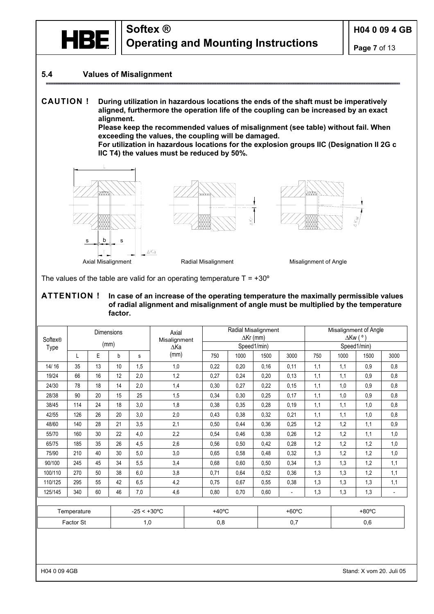

#### **5.4 Values of Misalignment**

**CAUTION ! During utilization in hazardous locations the ends of the shaft must be imperatively aligned, furthermore the operation life of the coupling can be increased by an exact alignment.** 

 **Please keep the recommended values of misalignment (see table) without fail. When exceeding the values, the coupling will be damaged.** 

 **For utilization in hazardous locations for the explosion groups IIC (Designation II 2G c IIC T4) the values must be reduced by 50%.** 







The values of the table are valid for an operating temperature  $T = +30^{\circ}$ 

#### **ATTENTION ! In case of an increase of the operating temperature the maximally permissible values of radial alignment and misalignment of angle must be multiplied by the temperature factor.**

| Softex®<br>Type |           | <b>Dimensions</b><br>(mm) |    |                       | Axial<br>Misalignment<br>$\Delta$ Ka |                 | Radial Misalignment | $\Delta$ Kr (mm)<br>Speed1/min) |                          | Misalignment of Angle<br>$\Delta$ Kw $(°)$<br>Speed1/min) |      |                 |                          |  |  |
|-----------------|-----------|---------------------------|----|-----------------------|--------------------------------------|-----------------|---------------------|---------------------------------|--------------------------|-----------------------------------------------------------|------|-----------------|--------------------------|--|--|
|                 | L         | E                         | b  | s                     | (mm)                                 | 750             | 1000                | 1500                            | 3000                     | 750                                                       | 1000 | 1500            | 3000                     |  |  |
| 14/16           | 35        | 13                        | 10 | 1,5                   | 1,0                                  | 0,22            | 0,20                | 0.16                            | 0,11                     | 1,1                                                       | 1,1  | 0.9             | 0,8                      |  |  |
| 19/24           | 66        | 16                        | 12 | 2,0                   | 1,2                                  | 0,27            | 0,24                | 0,20                            | 0,13                     | 1,1                                                       | 1,1  | 0.9             | 0,8                      |  |  |
| 24/30           | 78        | 18                        | 14 | 2,0                   | 1,4                                  | 0,30            | 0,27                | 0,22                            | 0,15                     | 1,1                                                       | 1,0  | 0,9             | 0,8                      |  |  |
| 28/38           | 90        | 20                        | 15 | 25                    | 1,5                                  | 0,34            | 0,30                | 0.25                            | 0,17                     | 1,1                                                       | 1,0  | 0.9             | 0,8                      |  |  |
| 38/45           | 114       | 24                        | 18 | 3,0                   | 1,8                                  | 0,38            | 0,35                | 0,28                            | 0,19                     | 1,1                                                       | 1,1  | 1,0             | 0,8                      |  |  |
| 42/55           | 126       | 26                        | 20 | 3,0                   | 2,0                                  | 0.43            | 0,38                | 0,32                            | 0,21                     | 1,1                                                       | 1,1  | 1,0             | 0,8                      |  |  |
| 48/60           | 140       | 28                        | 21 | 3,5                   | 2,1                                  | 0,50            | 0,44                | 0,36                            | 0,25                     | 1,2                                                       | 1,2  | 1,1             | 0,9                      |  |  |
| 55/70           | 160       | 30                        | 22 | 4,0                   | 2,2                                  | 0,54            | 0,46                | 0.38                            | 0,26                     | 1,2                                                       | 1,2  | 1,1             | 1,0                      |  |  |
| 65/75           | 185       | 35                        | 26 | 4,5                   | 2,6                                  | 0,56            | 0,50                | 0.42                            | 0,28                     | 1,2                                                       | 1,2  | 1,2             | 1,0                      |  |  |
| 75/90           | 210       | 40                        | 30 | 5,0                   | 3,0                                  | 0,65            | 0,58                | 0.48                            | 0,32                     | 1,3                                                       | 1,2  | 1,2             | 1,0                      |  |  |
| 90/100          | 245       | 45                        | 34 | 5,5                   | 3,4                                  | 0,68            | 0,60                | 0.50                            | 0,34                     | 1,3                                                       | 1,3  | 1,2             | 1,1                      |  |  |
| 100/110         | 270       | 50                        | 38 | 6,0                   | 3,8                                  | 0,71            | 0.64                | 0.52                            | 0,36                     | 1,3                                                       | 1,3  | 1,2             | 1,1                      |  |  |
| 110/125         | 295       | 55                        | 42 | 6,5                   | 4,2                                  | 0,75            | 0,67                | 0.55                            | 0,38                     | 1,3                                                       | 1,3  | 1,3             | 1,1                      |  |  |
| 125/145         | 340       | 60                        | 46 | 7,0                   | 4,6                                  | 0,80            | 0,70                | 0,60                            | $\overline{\phantom{a}}$ | 1,3                                                       | 1,3  | 1,3             | $\overline{\phantom{a}}$ |  |  |
|                 |           |                           |    |                       |                                      |                 |                     |                                 |                          |                                                           |      |                 |                          |  |  |
|                 |           | Temperature               |    | $-25 < +30^{\circ}$ C |                                      | $+40^{\circ}$ C |                     |                                 | $+60^{\circ}$ C          |                                                           |      | $+80^{\circ}$ C |                          |  |  |
|                 | Factor St |                           |    | 1,0                   |                                      | 0,8             |                     |                                 | 0,7                      |                                                           |      | 0,6             |                          |  |  |
|                 |           |                           |    |                       |                                      |                 |                     |                                 |                          |                                                           |      |                 |                          |  |  |

H04 0 09 4GB Stand: X vom 20. Juli 05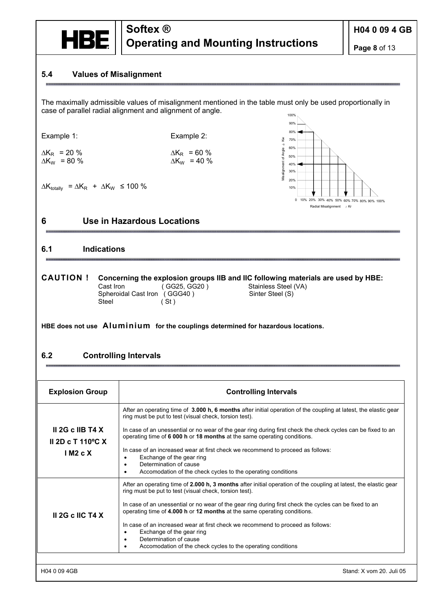

**Page 8** of 13

#### **5.4 Values of Misalignment**

100% The maximally admissible values of misalignment mentioned in the table must only be used proportionally in case of parallel radial alignment and alignment of angle.

Example 1: Example 2:

mu



#### **6 Use in Hazardous Locations**

#### **6.1 Indications**

# **CAUTION ! Concerning the explosion groups IIB and IIC following materials are used by HBE:**<br>Cast Iron (GG25, GG20) Stainless Steel (VA)

#### **HBE does not use Aluminium for the couplings determined for hazardous locations.**

#### **6.2 Controlling Intervals**

| LAGHIPIG 1.                                                                             | ∟∧анрю ∠.<br>š<br>70%                                                                                                                                                                                                                                                                                        |
|-----------------------------------------------------------------------------------------|--------------------------------------------------------------------------------------------------------------------------------------------------------------------------------------------------------------------------------------------------------------------------------------------------------------|
| $\Delta K_R$ = 20 %<br>$\Delta K_W$ = 80 %                                              | $\triangleleft$<br>60%<br>Misalignment of Angle<br>$\Delta K_R$ = 60 %<br>50%<br>$\Delta K_W$ = 40 %<br>40%                                                                                                                                                                                                  |
| $\Delta K_{\text{totally}} = \Delta K_{\text{R}} + \Delta K_{\text{W}} \le 100 \%$<br>6 | 30%<br>20%<br>10%<br>0 10% 20% 30% 40% 50% 60% 70% 80% 90% 100%<br>Radial Misalignment 4 Kr<br>Use in Hazardous Locations                                                                                                                                                                                    |
| <b>Indications</b><br>6.1                                                               |                                                                                                                                                                                                                                                                                                              |
| <b>CAUTION!</b><br>Cast Iron<br>Steel                                                   | Concerning the explosion groups IIB and IIC following materials are used by HBE:<br>(GG25, GG20)<br>Stainless Steel (VA)<br>Spheroidal Cast Iron (GGG40)<br>Sinter Steel (S)<br>(St)                                                                                                                         |
|                                                                                         | HBE does not use Aluminium for the couplings determined for hazardous locations.                                                                                                                                                                                                                             |
| 6.2                                                                                     | <b>Controlling Intervals</b>                                                                                                                                                                                                                                                                                 |
| <b>Explosion Group</b>                                                                  | <b>Controlling Intervals</b>                                                                                                                                                                                                                                                                                 |
|                                                                                         | After an operating time of 3.000 h, 6 months after initial operation of the coupling at latest, the elastic gear<br>ring must be put to test (visual check, torsion test).                                                                                                                                   |
| II 2G c IIB T4 $X$<br>II 2D c T 110 $\degree$ C X                                       | In case of an unessential or no wear of the gear ring during first check the check cycles can be fixed to an<br>operating time of 6 000 h or 18 months at the same operating conditions.                                                                                                                     |
| IM2cX                                                                                   | In case of an increased wear at first check we recommend to proceed as follows:<br>Exchange of the gear ring<br>$\bullet$<br>Determination of cause<br>Accomodation of the check cycles to the operating conditions<br>$\bullet$                                                                             |
|                                                                                         | After an operating time of 2.000 h, 3 months after initial operation of the coupling at latest, the elastic gear<br>ring must be put to test (visual check, torsion test).<br>In case of an unessential or no wear of the gear ring during first check the cycles can be fixed to an                         |
| II 2G c IIC T4 X                                                                        | operating time of 4.000 h or 12 months at the same operating conditions.<br>In case of an increased wear at first check we recommend to proceed as follows:<br>Exchange of the gear ring<br>$\bullet$<br>Determination of cause<br>Accomodation of the check cycles to the operating conditions<br>$\bullet$ |
| H04 0 09 4GB                                                                            | Stand: X vom 20. Juli 05                                                                                                                                                                                                                                                                                     |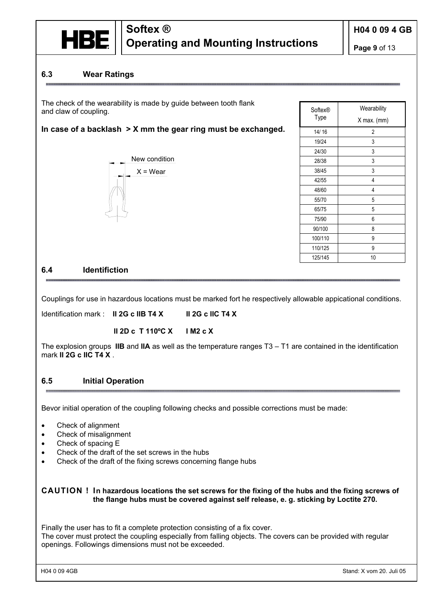

**Page 9** of 13

#### **6.3 Wear Ratings**

The check of the wearability is made by guide between tooth flank and claw of coupling.

#### **In case of a backlash > X mm the gear ring must be exchanged.**



| Softex® | Wearability |
|---------|-------------|
| Type    | X max. (mm) |
| 14/16   | 2           |
| 19/24   | 3           |
| 24/30   | 3           |
| 28/38   | 3           |
| 38/45   | 3           |
| 42/55   | 4           |
| 48/60   | 4           |
| 55/70   | 5           |
| 65/75   | 5           |
| 75/90   | 6           |
| 90/100  | 8           |
| 100/110 | 9           |
| 110/125 | 9           |
| 125/145 | 10          |

#### **6.4 Identifiction**

Couplings for use in hazardous locations must be marked fort he respectively allowable appicational conditions.

Identification mark : **II 2G c IIB T4 X II 2G c IIC T4 X** 

**II 2D c T 110ºC X I M2 c X**

The explosion groups **IIB** and **IIA** as well as the temperature ranges T3 – T1 are contained in the identification mark **II 2G c IIC T4 X** .

#### **6.5 Initial Operation**

Bevor initial operation of the coupling following checks and possible corrections must be made:

- Check of alignment
- Check of misalignment
- Check of spacing E
- Check of the draft of the set screws in the hubs
- Check of the draft of the fixing screws concerning flange hubs

**CAUTION ! In hazardous locations the set screws for the fixing of the hubs and the fixing screws of the flange hubs must be covered against self release, e. g. sticking by Loctite 270.** 

Finally the user has to fit a complete protection consisting of a fix cover.

The cover must protect the coupling especially from falling objects. The covers can be provided with regular openings. Followings dimensions must not be exceeded.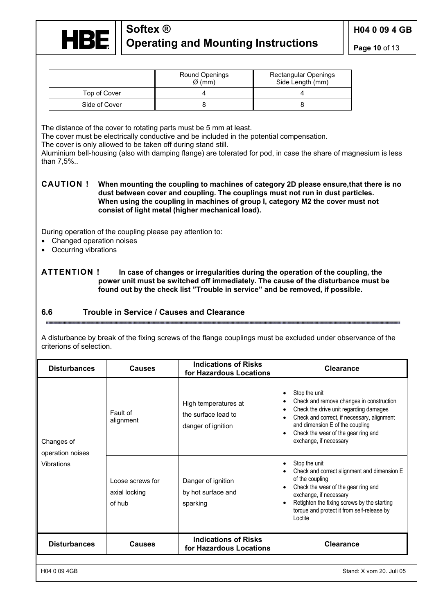

**Page 10** of 13

|               | Round Openings<br>$\varnothing$ (mm) | <b>Rectangular Openings</b><br>Side Length (mm) |
|---------------|--------------------------------------|-------------------------------------------------|
| Top of Cover  |                                      |                                                 |
| Side of Cover |                                      |                                                 |

The distance of the cover to rotating parts must be 5 mm at least.

The cover must be electrically conductive and be included in the potential compensation.

The cover is only allowed to be taken off during stand still.

Aluminium bell-housing (also with damping flange) are tolerated for pod, in case the share of magnesium is less than 7,5%..

**CAUTION ! When mounting the coupling to machines of category 2D please ensure,that there is no dust between cover and coupling. The couplings must not run in dust particles. When using the coupling in machines of group I, category M2 the cover must not consist of light metal (higher mechanical load).** 

During operation of the coupling please pay attention to:

- Changed operation noises
- Occurring vibrations

**ATTENTION ! In case of changes or irregularities during the operation of the coupling, the power unit must be switched off immediately. The cause of the disturbance must be found out by the check list "Trouble in service" and be removed, if possible.** 

#### **6.6 Trouble in Service / Causes and Clearance**

A disturbance by break of the fixing screws of the flange couplings must be excluded under observance of the criterions of selection.

| <b>Disturbances</b>                          | <b>Causes</b>                               | <b>Indications of Risks</b><br>for Hazardous Locations            | <b>Clearance</b>                                                                                                                                                                                                                                         |
|----------------------------------------------|---------------------------------------------|-------------------------------------------------------------------|----------------------------------------------------------------------------------------------------------------------------------------------------------------------------------------------------------------------------------------------------------|
| Changes of<br>operation noises<br>Vibrations | Fault of<br>alignment                       | High temperatures at<br>the surface lead to<br>danger of ignition | Stop the unit<br>Check and remove changes in construction<br>Check the drive unit regarding damages<br>Check and correct, if necessary, alignment<br>and dimension E of the coupling<br>Check the wear of the gear ring and<br>exchange, if necessary    |
|                                              | Loose screws for<br>axial locking<br>of hub | Danger of ignition<br>by hot surface and<br>sparking              | Stop the unit<br>Check and correct alignment and dimension E<br>of the coupling<br>Check the wear of the gear ring and<br>exchange, if necessary<br>Retighten the fixing screws by the starting<br>torque and protect it from self-release by<br>Loctite |
| <b>Disturbances</b>                          | <b>Causes</b>                               | <b>Indications of Risks</b><br>for Hazardous Locations            | <b>Clearance</b>                                                                                                                                                                                                                                         |
| H04 0 09 4GB                                 |                                             |                                                                   | Stand: X vom 20. Juli 05                                                                                                                                                                                                                                 |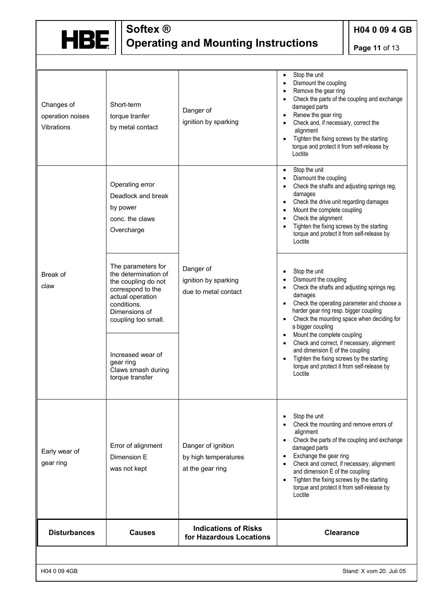

**H04 0 09 4 GB**

**Page 11** of 13

| Changes of<br>operation noises<br>Vibrations | Short-term<br>torque tranfer<br>by metal contact                                                                                                                  | Danger of<br>ignition by sparking                              | Stop the unit<br>$\bullet$<br>Dismount the coupling<br>$\bullet$<br>Remove the gear ring<br>$\bullet$<br>Check the parts of the coupling and exchange<br>$\bullet$<br>damaged parts<br>Renew the gear ring<br>$\bullet$<br>Check and, if necessary, correct the<br>$\bullet$<br>alignment<br>Tighten the fixing screws by the starting<br>torque and protect it from self-release by<br>Loctite             |
|----------------------------------------------|-------------------------------------------------------------------------------------------------------------------------------------------------------------------|----------------------------------------------------------------|-------------------------------------------------------------------------------------------------------------------------------------------------------------------------------------------------------------------------------------------------------------------------------------------------------------------------------------------------------------------------------------------------------------|
|                                              | Operating error<br>Deadlock and break<br>by power<br>conc. the claws<br>Overcharge                                                                                |                                                                | Stop the unit<br>$\bullet$<br>Dismount the coupling<br>$\bullet$<br>Check the shafts and adjusting springs reg.<br>$\bullet$<br>damages<br>Check the drive unit regarding damages<br>$\bullet$<br>Mount the complete coupling<br>$\bullet$<br>Check the alignment<br>$\bullet$<br>Tighten the fixing screws by the starting<br>torque and protect it from self-release by<br>Loctite                        |
| Break of<br>claw                             | The parameters for<br>the determination of<br>the coupling do not<br>correspond to the<br>actual operation<br>conditions.<br>Dimensions of<br>coupling too small. | Danger of<br>ignition by sparking<br>due to metal contact      | Stop the unit<br>$\bullet$<br>Dismount the coupling<br>$\bullet$<br>Check the shafts and adjusting springs reg.<br>$\bullet$<br>damages<br>Check the operating parameter and choose a<br>$\bullet$<br>harder gear ring resp. bigger coupling<br>Check the mounting space when deciding for<br>a bigger coupling<br>Mount the complete coupling<br>$\bullet$                                                 |
|                                              | Increased wear of<br>gear ring<br>Claws smash during<br>torque transfer                                                                                           |                                                                | Check and correct, if necessary, alignment<br>$\bullet$<br>and dimension E of the coupling<br>Tighten the fixing screws by the starting<br>torque and protect it from self-release by<br>Loctite                                                                                                                                                                                                            |
| Early wear of<br>gear ring                   | Error of alignment<br>Dimension E<br>was not kept                                                                                                                 | Danger of ignition<br>by high temperatures<br>at the gear ring | Stop the unit<br>Check the mounting and remove errors of<br>alignment<br>Check the parts of the coupling and exchange<br>$\bullet$<br>damaged parts<br>Exchange the gear ring<br>$\bullet$<br>Check and correct, if necessary, alignment<br>$\bullet$<br>and dimension E of the coupling<br>Tighten the fixing screws by the starting<br>$\bullet$<br>torque and protect it from self-release by<br>Loctite |
| <b>Disturbances</b>                          | <b>Causes</b>                                                                                                                                                     | <b>Indications of Risks</b><br>for Hazardous Locations         | <b>Clearance</b>                                                                                                                                                                                                                                                                                                                                                                                            |
|                                              |                                                                                                                                                                   |                                                                |                                                                                                                                                                                                                                                                                                                                                                                                             |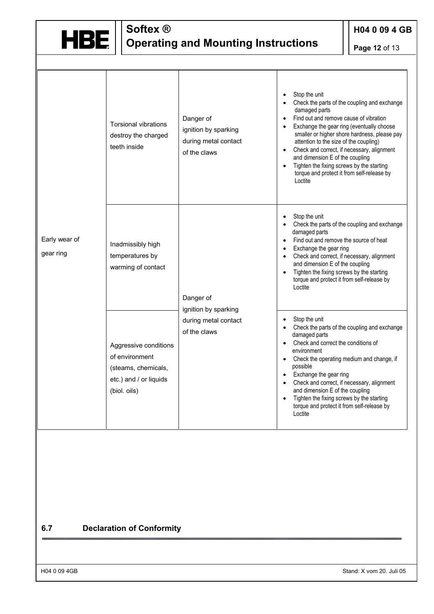

**H04 0 09 4 GB**

**Page 12** of 13

| Early wear of<br>gear ring | <b>Torsional vibrations</b><br>destroy the charged<br>teeth inside                                       | Danger of<br>ignition by sparking<br>during metal contact<br>of the claws | Stop the unit<br>Check the parts of the coupling and exchange<br>damaged parts<br>Find out and remove cause of vibration<br>Exchange the gear ring (eventually choose<br>smaller or higher shore hardness, please pay<br>attention to the size of the coupling)<br>Check and correct, if necessary, alignment<br>and dimension E of the coupling<br>Tighten the fixing screws by the starting<br>$\bullet$<br>torque and protect it from self-release by<br>Loctite |
|----------------------------|----------------------------------------------------------------------------------------------------------|---------------------------------------------------------------------------|---------------------------------------------------------------------------------------------------------------------------------------------------------------------------------------------------------------------------------------------------------------------------------------------------------------------------------------------------------------------------------------------------------------------------------------------------------------------|
|                            | Inadmissibly high<br>temperatures by<br>warming of contact                                               | Danger of<br>ignition by sparking<br>during metal contact<br>of the claws | Stop the unit<br>Check the parts of the coupling and exchange<br>damaged parts<br>Find out and remove the source of heat<br>$\bullet$<br>Exchange the gear ring<br>Check and correct, if necessary, alignment<br>$\bullet$<br>and dimension E of the coupling<br>Tighten the fixing screws by the starting<br>torque and protect it from self-release by<br>I octite                                                                                                |
|                            | Aggressive conditions<br>of environment<br>(steams, chemicals,<br>etc.) and / or liquids<br>(biol. oils) |                                                                           | Stop the unit<br>Check the parts of the coupling and exchange<br>damaged parts<br>Check and correct the conditions of<br>$\bullet$<br>environment<br>Check the operating medium and change, if<br>possible<br>Exchange the gear ring<br>Check and correct, if necessary, alignment<br>and dimension E of the coupling<br>Tighten the fixing screws by the starting<br>torque and protect it from self-release by<br>Loctite                                         |

#### **6.7 Declaration of Conformity**

H04 0 09 4GB Stand: X vom 20. Juli 05